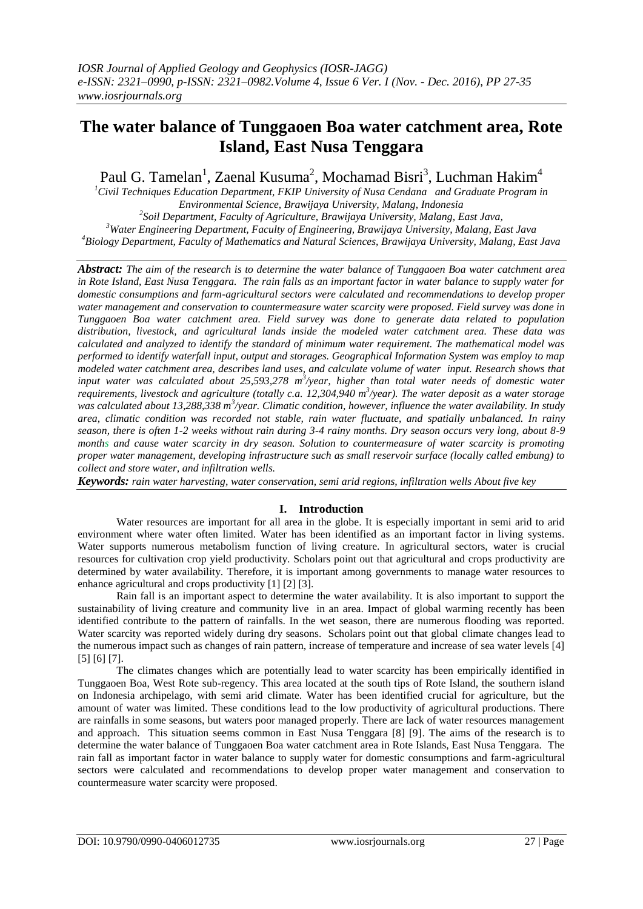# **The water balance of Tunggaoen Boa water catchment area, Rote Island, East Nusa Tenggara**

Paul G. Tamelan<sup>1</sup>, Zaenal Kusuma<sup>2</sup>, Mochamad Bisri<sup>3</sup>, Luchman Hakim<sup>4</sup>

*Civil Techniques Education Department, FKIP University of Nusa Cendana and Graduate Program in Environmental Science, Brawijaya University, Malang, Indonesia Soil Department, Faculty of Agriculture, Brawijaya University, Malang, East Java, Water Engineering Department, Faculty of Engineering, Brawijaya University, Malang, East Java*

*<sup>4</sup>Biology Department, Faculty of Mathematics and Natural Sciences, Brawijaya University, Malang, East Java*

*Abstract: The aim of the research is to determine the water balance of Tunggaoen Boa water catchment area in Rote Island, East Nusa Tenggara. The rain falls as an important factor in water balance to supply water for domestic consumptions and farm-agricultural sectors were calculated and recommendations to develop proper water management and conservation to countermeasure water scarcity were proposed. Field survey was done in Tunggaoen Boa water catchment area. Field survey was done to generate data related to population distribution, livestock, and agricultural lands inside the modeled water catchment area. These data was calculated and analyzed to identify the standard of minimum water requirement. The mathematical model was performed to identify waterfall input, output and storages. Geographical Information System was employ to map modeled water catchment area, describes land uses, and calculate volume of water input. Research shows that*  input water was calculated about 25,593,278 m<sup>3</sup>/year, higher than total water needs of domestic water *requirements, livestock and agriculture (totally c.a. 12,304,940 m<sup>3</sup>/year). The water deposit as a water storage* was calculated about 13,288,338 m<sup>3</sup>/year. Climatic condition, however, influence the water availability. In study *area, climatic condition was recorded not stable, rain water fluctuate, and spatially unbalanced. In rainy season, there is often 1-2 weeks without rain during 3-4 rainy months. Dry season occurs very long, about 8-9 months and cause water scarcity in dry season. Solution to countermeasure of water scarcity is promoting proper water management, developing infrastructure such as small reservoir surface (locally called embung) to collect and store water, and infiltration wells.*

*Keywords: rain water harvesting, water conservation, semi arid regions, infiltration wells About five key* 

# **I. Introduction**

Water resources are important for all area in the globe. It is especially important in semi arid to arid environment where water often limited. Water has been identified as an important factor in living systems. Water supports numerous metabolism function of living creature. In agricultural sectors, water is crucial resources for cultivation crop yield productivity. Scholars point out that agricultural and crops productivity are determined by water availability. Therefore, it is important among governments to manage water resources to enhance agricultural and crops productivity [1] [2] [3].

Rain fall is an important aspect to determine the water availability. It is also important to support the sustainability of living creature and community live in an area. Impact of global warming recently has been identified contribute to the pattern of rainfalls. In the wet season, there are numerous flooding was reported. Water scarcity was reported widely during dry seasons. Scholars point out that global climate changes lead to the numerous impact such as changes of rain pattern, increase of temperature and increase of sea water levels [4] [5] [6] [7].

The climates changes which are potentially lead to water scarcity has been empirically identified in Tunggaoen Boa, West Rote sub-regency. This area located at the south tips of Rote Island, the southern island on Indonesia archipelago, with semi arid climate. Water has been identified crucial for agriculture, but the amount of water was limited. These conditions lead to the low productivity of agricultural productions. There are rainfalls in some seasons, but waters poor managed properly. There are lack of water resources management and approach. This situation seems common in East Nusa Tenggara [8] [9]. The aims of the research is to determine the water balance of Tunggaoen Boa water catchment area in Rote Islands, East Nusa Tenggara. The rain fall as important factor in water balance to supply water for domestic consumptions and farm-agricultural sectors were calculated and recommendations to develop proper water management and conservation to countermeasure water scarcity were proposed.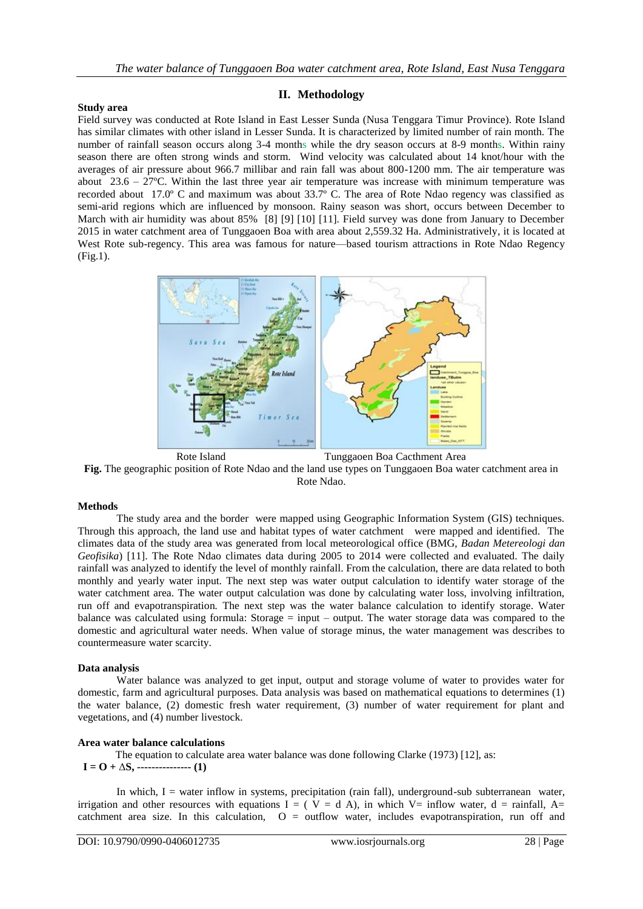# **II. Methodology**

#### **Study area**

Field survey was conducted at Rote Island in East Lesser Sunda (Nusa Tenggara Timur Province). Rote Island has similar climates with other island in Lesser Sunda. It is characterized by limited number of rain month. The number of rainfall season occurs along 3-4 months while the dry season occurs at 8-9 months. Within rainy season there are often strong winds and storm. Wind velocity was calculated about 14 knot/hour with the averages of air pressure about 966.7 millibar and rain fall was about 800-1200 mm. The air temperature was about  $23.6 - 27^{\circ}$ C. Within the last three year air temperature was increase with minimum temperature was recorded about 17.0º C and maximum was about 33.7º C. The area of Rote Ndao regency was classified as semi-arid regions which are influenced by monsoon. Rainy season was short, occurs between December to March with air humidity was about 85% [8] [9] [10] [11]. Field survey was done from January to December 2015 in water catchment area of Tunggaoen Boa with area about 2,559.32 Ha. Administratively, it is located at West Rote sub-regency. This area was famous for nature—based tourism attractions in Rote Ndao Regency (Fig.1).



**Fig.** The geographic position of Rote Ndao and the land use types on Tunggaoen Boa water catchment area in Rote Ndao.

#### **Methods**

The study area and the border were mapped using Geographic Information System (GIS) techniques. Through this approach, the land use and habitat types of water catchment were mapped and identified. The climates data of the study area was generated from local meteorological office (BMG, *Badan Metereologi dan Geofisika*) [11]. The Rote Ndao climates data during 2005 to 2014 were collected and evaluated. The daily rainfall was analyzed to identify the level of monthly rainfall. From the calculation, there are data related to both monthly and yearly water input. The next step was water output calculation to identify water storage of the water catchment area. The water output calculation was done by calculating water loss, involving infiltration, run off and evapotranspiration*.* The next step was the water balance calculation to identify storage. Water balance was calculated using formula: Storage  $=$  input – output. The water storage data was compared to the domestic and agricultural water needs. When value of storage minus, the water management was describes to countermeasure water scarcity.

## **Data analysis**

Water balance was analyzed to get input, output and storage volume of water to provides water for domestic, farm and agricultural purposes. Data analysis was based on mathematical equations to determines (1) the water balance, (2) domestic fresh water requirement, (3) number of water requirement for plant and vegetations, and (4) number livestock.

#### **Area water balance calculations**

 The equation to calculate area water balance was done following Clarke (1973) [12], as:  $I = O + \Delta S$ , ------------------ (1)

In which, I = water inflow in systems, precipitation (rain fall), underground-sub subterranean water, irrigation and other resources with equations I = ( $V = d A$ ), in which V= inflow water, d = rainfall, A= catchment area size. In this calculation,  $O =$  outflow water, includes evapotranspiration, run off and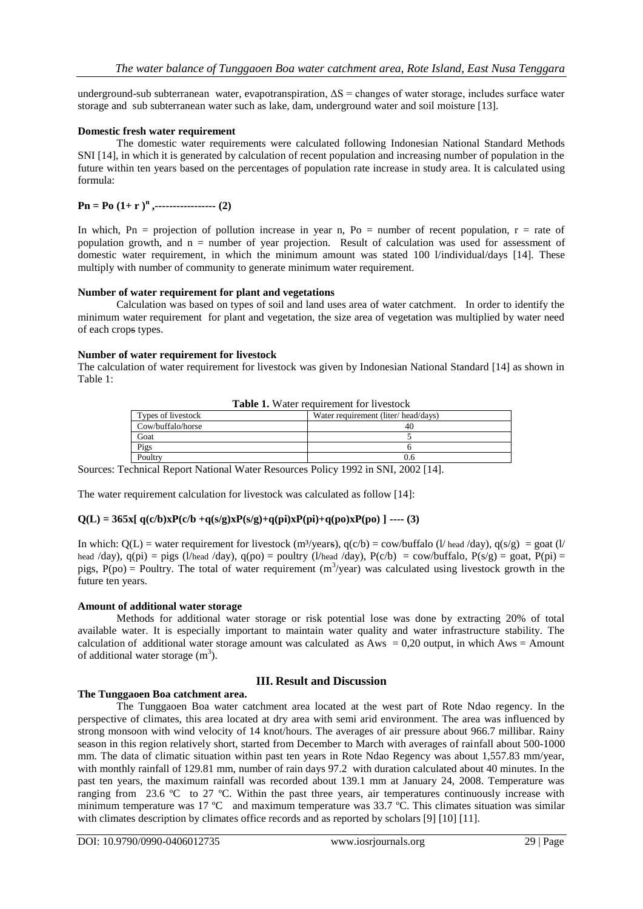underground-sub subterraneanwater, evapotranspiration, ΔS = changes of water storage, includes surface water storage and sub subterranean water such as lake, dam, underground water and soil moisture [13].

## **Domestic fresh water requirement**

The domestic water requirements were calculated following Indonesian National Standard Methods SNI [14], in which it is generated by calculation of recent population and increasing number of population in the future within ten years based on the percentages of population rate increase in study area. It is calculated using formula:

# **Pn = Po (1+ r )<sup>n</sup> ,----------------- (2)**

In which, Pn = projection of pollution increase in year n, Po = number of recent population,  $r =$  rate of population growth, and n = number of year projection. Result of calculation was used for assessment of domestic water requirement, in which the minimum amount was stated 100 l/individual/days [14]. These multiply with number of community to generate minimum water requirement.

## **Number of water requirement for plant and vegetations**

Calculation was based on types of soil and land uses area of water catchment. In order to identify the minimum water requirement for plant and vegetation, the size area of vegetation was multiplied by water need of each crops types.

## **Number of water requirement for livestock**

The calculation of water requirement for livestock was given by Indonesian National Standard [14] as shown in Table 1:

| <b>Table 1.</b> Water requirement for investock |                                     |  |  |
|-------------------------------------------------|-------------------------------------|--|--|
| Types of livestock                              | Water requirement (liter/head/days) |  |  |
| Cow/buffalo/horse                               | 40                                  |  |  |
| Goat                                            |                                     |  |  |
| Pigs                                            |                                     |  |  |
| Poultry                                         | 0.6                                 |  |  |

**Table 1. Water requirement for livesto** 

Sources: Technical Report National Water Resources Policy 1992 in SNI, 2002 [14].

The water requirement calculation for livestock was calculated as follow [14]:

# $Q(L) = 365x[q(c/b)xP(c/b + q(s/g)xP(s/g)+q(pi)xP(pi)+q(po)xP(po)]$  ---- (3)

In which:  $Q(L)$  = water requirement for livestock (m<sup>3</sup>/years),  $q(c/b)$  = cow/buffalo (l/ head /day),  $q(s/g)$  = goat (l/ head /day),  $q(pi) = \text{pigs (l/head /day)}$ ,  $q(po) = \text{poultry (l/head /day)}$ ,  $P(c/b) = \text{cow/buffalo}$ ,  $P(s/g) = \text{goat}$ ,  $P(pi) =$ pigs,  $P(po) = Poultry$ . The total of water requirement  $(m<sup>3</sup>/year)$  was calculated using livestock growth in the future ten years.

## **Amount of additional water storage**

Methods for additional water storage or risk potential lose was done by extracting 20% of total available water. It is especially important to maintain water quality and water infrastructure stability. The calculation of additional water storage amount was calculated as  $Aws = 0.20$  output, in which Aws = Amount of additional water storage  $(m<sup>3</sup>)$ .

## **III. Result and Discussion**

## **The Tunggaoen Boa catchment area.**

The Tunggaoen Boa water catchment area located at the west part of Rote Ndao regency. In the perspective of climates, this area located at dry area with semi arid environment. The area was influenced by strong monsoon with wind velocity of 14 knot/hours. The averages of air pressure about 966.7 millibar. Rainy season in this region relatively short, started from December to March with averages of rainfall about 500-1000 mm. The data of climatic situation within past ten years in Rote Ndao Regency was about 1,557.83 mm/year, with monthly rainfall of 129.81 mm, number of rain days 97.2 with duration calculated about 40 minutes. In the past ten years, the maximum rainfall was recorded about 139.1 mm at January 24, 2008. Temperature was ranging from 23.6 ºC to 27 ºC. Within the past three years, air temperatures continuously increase with minimum temperature was 17 ºC and maximum temperature was 33.7 ºC. This climates situation was similar with climates description by climates office records and as reported by scholars [9] [10] [11].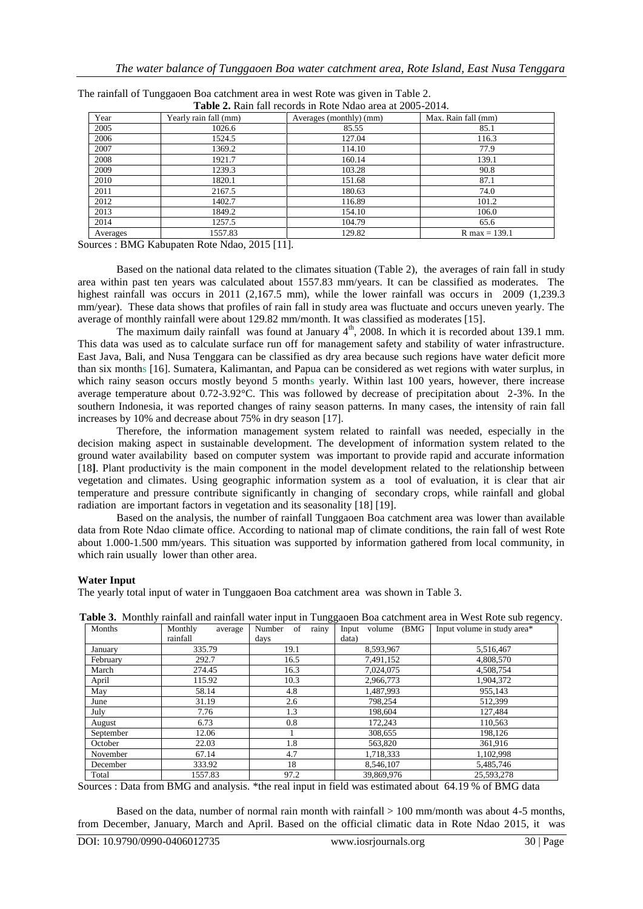| <b>Table 2.</b> Kaill fall feedfus in Kote frugo area at 2009-2014. |                       |                         |                     |  |  |
|---------------------------------------------------------------------|-----------------------|-------------------------|---------------------|--|--|
| Year                                                                | Yearly rain fall (mm) | Averages (monthly) (mm) | Max. Rain fall (mm) |  |  |
| 2005                                                                | 1026.6                | 85.55                   | 85.1                |  |  |
| 2006                                                                | 1524.5                | 127.04                  | 116.3               |  |  |
| 2007                                                                | 1369.2                | 114.10                  | 77.9                |  |  |
| 2008                                                                | 1921.7                | 160.14                  | 139.1               |  |  |
| 2009                                                                | 1239.3                | 103.28                  | 90.8                |  |  |
| 2010                                                                | 1820.1                | 151.68                  | 87.1                |  |  |
| 2011                                                                | 2167.5                | 180.63                  | 74.0                |  |  |
| 2012                                                                | 1402.7                | 116.89                  | 101.2               |  |  |
| 2013                                                                | 1849.2                | 154.10                  | 106.0               |  |  |
| 2014                                                                | 1257.5                | 104.79                  | 65.6                |  |  |
| Averages                                                            | 1557.83               | 129.82                  | $R$ max = 139.1     |  |  |

| The rainfall of Tunggaoen Boa catchment area in west Rote was given in Table 2. |  |                                                                     |  |
|---------------------------------------------------------------------------------|--|---------------------------------------------------------------------|--|
|                                                                                 |  | $\text{Table 2.}$ Dein fell recently in Deta Mdee eres at 2005 2014 |  |

Sources : BMG Kabupaten Rote Ndao, 2015 [11].

Based on the national data related to the climates situation (Table 2), the averages of rain fall in study area within past ten years was calculated about 1557.83 mm/years. It can be classified as moderates. The highest rainfall was occurs in 2011 (2,167.5 mm), while the lower rainfall was occurs in 2009 (1,239.3 mm/year). These data shows that profiles of rain fall in study area was fluctuate and occurs uneven yearly. The average of monthly rainfall were about 129.82 mm/month. It was classified as moderates [15].

The maximum daily rainfall was found at January  $4<sup>th</sup>$ , 2008. In which it is recorded about 139.1 mm. This data was used as to calculate surface run off for management safety and stability of water infrastructure. East Java, Bali, and Nusa Tenggara can be classified as dry area because such regions have water deficit more than six months [16]. Sumatera, Kalimantan, and Papua can be considered as wet regions with water surplus, in which rainy season occurs mostly beyond 5 months yearly. Within last 100 years, however, there increase average temperature about 0.72-3.92°C. This was followed by decrease of precipitation about 2-3%. In the southern Indonesia, it was reported changes of rainy season patterns. In many cases, the intensity of rain fall increases by 10% and decrease about 75% in dry season [17].

Therefore, the information management system related to rainfall was needed, especially in the decision making aspect in sustainable development. The development of information system related to the ground water availability based on computer system was important to provide rapid and accurate information [18**]**. Plant productivity is the main component in the model development related to the relationship between vegetation and climates. Using geographic information system as a tool of evaluation, it is clear that air temperature and pressure contribute significantly in changing of secondary crops, while rainfall and global radiation are important factors in vegetation and its seasonality [18] [19].

Based on the analysis, the number of rainfall Tunggaoen Boa catchment area was lower than available data from Rote Ndao climate office. According to national map of climate conditions, the rain fall of west Rote about 1.000-1.500 mm/years. This situation was supported by information gathered from local community, in which rain usually lower than other area.

## **Water Input**

The yearly total input of water in Tunggaoen Boa catchment area was shown in Table 3.

|           |                    |                 |                   | <u>ruole et filoming funnun und funnun wulet input in Fungguolii Dou eutennem ureu in west flote suo fegeneg</u> |
|-----------|--------------------|-----------------|-------------------|------------------------------------------------------------------------------------------------------------------|
| Months    | Monthly<br>average | Number of rainy | Input volume (BMG | Input volume in study area*                                                                                      |
|           | rainfall           | days            | data)             |                                                                                                                  |
| January   | 335.79             | 19.1            | 8,593,967         | 5,516,467                                                                                                        |
| February  | 292.7              | 16.5            | 7,491,152         | 4,808,570                                                                                                        |
| March     | 274.45             | 16.3            | 7,024,075         | 4,508,754                                                                                                        |
| April     | 115.92             | 10.3            | 2,966,773         | 1,904,372                                                                                                        |
| May       | 58.14              | 4.8             | 1,487,993         | 955,143                                                                                                          |
| June      | 31.19              | 2.6             | 798.254           | 512,399                                                                                                          |
| July      | 7.76               | 1.3             | 198,604           | 127,484                                                                                                          |
| August    | 6.73               | 0.8             | 172,243           | 110,563                                                                                                          |
| September | 12.06              |                 | 308,655           | 198.126                                                                                                          |
| October   | 22.03              | 1.8             | 563,820           | 361.916                                                                                                          |
| November  | 67.14              | 4.7             | 1,718,333         | 1,102,998                                                                                                        |
| December  | 333.92             | 18              | 8,546,107         | 5,485,746                                                                                                        |
| Total     | 1557.83            | 97.2            | 39,869,976        | 25,593,278                                                                                                       |

**Table 3.** Monthly rainfall and rainfall water input in Tunggaoen Boa catchment area in West Rote sub regency.

Sources : Data from BMG and analysis. \*the real input in field was estimated about 64.19 % of BMG data

Based on the data, number of normal rain month with rainfall  $> 100$  mm/month was about 4-5 months, from December, January, March and April. Based on the official climatic data in Rote Ndao 2015, it was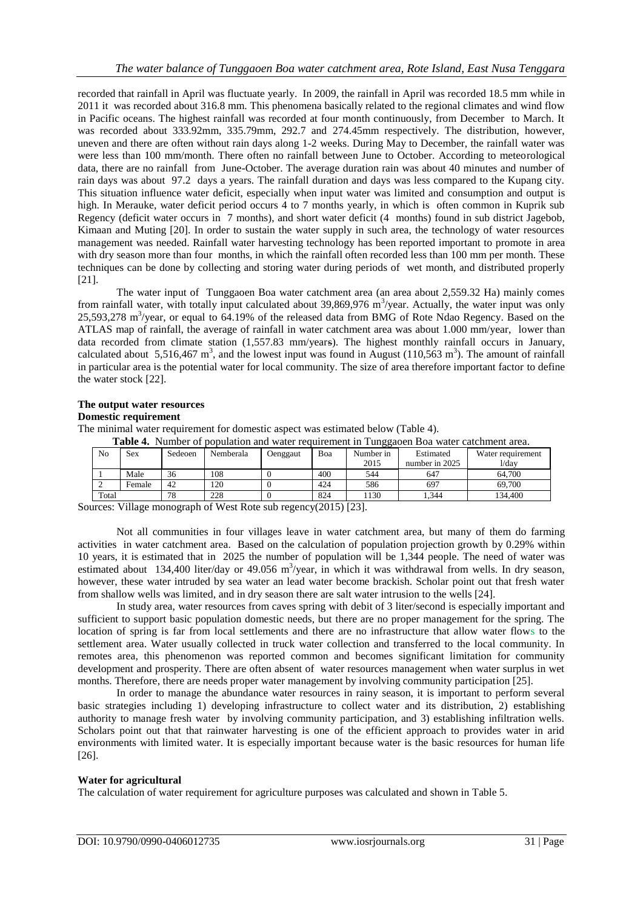recorded that rainfall in April was fluctuate yearly. In 2009, the rainfall in April was recorded 18.5 mm while in 2011 it was recorded about 316.8 mm. This phenomena basically related to the regional climates and wind flow in Pacific oceans. The highest rainfall was recorded at four month continuously, from December to March. It was recorded about 333.92mm, 335.79mm, 292.7 and 274.45mm respectively. The distribution, however, uneven and there are often without rain days along 1-2 weeks. During May to December, the rainfall water was were less than 100 mm/month. There often no rainfall between June to October. According to meteorological data, there are no rainfall from June-October. The average duration rain was about 40 minutes and number of rain days was about 97.2 days a years. The rainfall duration and days was less compared to the Kupang city. This situation influence water deficit, especially when input water was limited and consumption and output is high. In Merauke, water deficit period occurs 4 to 7 months yearly, in which is often common in Kuprik sub Regency (deficit water occurs in 7 months), and short water deficit (4 months) found in sub district Jagebob, Kimaan and Muting [20]. In order to sustain the water supply in such area, the technology of water resources management was needed. Rainfall water harvesting technology has been reported important to promote in area with dry season more than four months, in which the rainfall often recorded less than 100 mm per month. These techniques can be done by collecting and storing water during periods of wet month, and distributed properly [21].

The water input of Tunggaoen Boa water catchment area (an area about 2,559.32 Ha) mainly comes from rainfall water, with totally input calculated about  $39,869,976$  m<sup>3</sup>/year. Actually, the water input was only 25,593,278 m<sup>3</sup>/year, or equal to 64.19% of the released data from BMG of Rote Ndao Regency. Based on the ATLAS map of rainfall, the average of rainfall in water catchment area was about 1.000 mm/year, lower than data recorded from climate station (1,557.83 mm/years). The highest monthly rainfall occurs in January, calculated about 5,516,467 m<sup>3</sup>, and the lowest input was found in August (110,563 m<sup>3</sup>). The amount of rainfall in particular area is the potential water for local community. The size of area therefore important factor to define the water stock [22].

## **The output water resources**

#### **Domestic requirement**

The minimal water requirement for domestic aspect was estimated below (Table 4).

| <b>Table 4.</b> Tumber of population and water requirement in Tunggaben Doa water catemient area. |        |         |           |          |     |           |                |                   |
|---------------------------------------------------------------------------------------------------|--------|---------|-----------|----------|-----|-----------|----------------|-------------------|
| No                                                                                                | Sex    | Sedeoen | Nemberala | Oenggaut | Boa | Number in | Estimated      | Water requirement |
|                                                                                                   |        |         |           |          |     | 2015      | number in 2025 | 1/dav             |
|                                                                                                   | Male   | 36      | 108       |          | 400 | 544       | 647            | 64.700            |
|                                                                                                   | Female | 42      | 120       |          | 424 | 586       | 697            | 69.700            |
| Total                                                                                             |        | 78      | 228       |          | 824 | 1130      | .344           | 134.400           |

**Table 4.** Number of population and water requirement in Tunggaoen Boa water catchment area.

Sources: Village monograph of West Rote sub regency(2015) [23].

Not all communities in four villages leave in water catchment area, but many of them do farming activities in water catchment area. Based on the calculation of population projection growth by 0.29% within 10 years, it is estimated that in 2025 the number of population will be 1,344 people. The need of water was estimated about 134,400 liter/day or 49.056 m<sup>3</sup>/year, in which it was withdrawal from wells. In dry season, however, these water intruded by sea water an lead water become brackish. Scholar point out that fresh water from shallow wells was limited, and in dry season there are salt water intrusion to the wells [24].

In study area, water resources from caves spring with debit of 3 liter/second is especially important and sufficient to support basic population domestic needs, but there are no proper management for the spring. The location of spring is far from local settlements and there are no infrastructure that allow water flows to the settlement area. Water usually collected in truck water collection and transferred to the local community. In remotes area, this phenomenon was reported common and becomes significant limitation for community development and prosperity. There are often absent of water resources management when water surplus in wet months. Therefore, there are needs proper water management by involving community participation [25].

In order to manage the abundance water resources in rainy season, it is important to perform several basic strategies including 1) developing infrastructure to collect water and its distribution, 2) establishing authority to manage fresh water by involving community participation, and 3) establishing infiltration wells. Scholars point out that that rainwater harvesting is one of the efficient approach to provides water in arid environments with limited water. It is especially important because water is the basic resources for human life [26].

## **Water for agricultural**

The calculation of water requirement for agriculture purposes was calculated and shown in Table 5.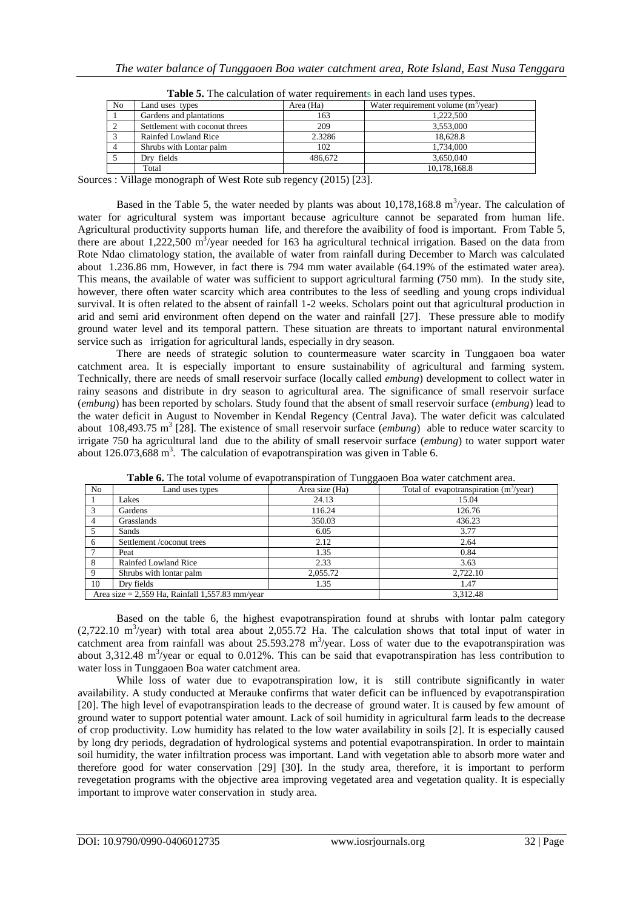| No | Land uses types                | Area (Ha) | Water requirement volume $(m^3$ /year) |  |  |
|----|--------------------------------|-----------|----------------------------------------|--|--|
|    | Gardens and plantations        | 163       | 1.222,500                              |  |  |
|    | Settlement with coconut threes | 209       | 3.553,000                              |  |  |
|    | Rainfed Lowland Rice           | 2.3286    | 18.628.8                               |  |  |
|    | Shrubs with Lontar palm        | 102       | 1,734,000                              |  |  |
|    | Dry fields                     | 486.672   | 3.650.040                              |  |  |
|    | Total                          |           | 10.178.168.8                           |  |  |

| Table 5. The calculation of water requirements in each land uses types. |  |
|-------------------------------------------------------------------------|--|
|-------------------------------------------------------------------------|--|

Sources : Village monograph of West Rote sub regency (2015) [23].

Based in the Table 5, the water needed by plants was about  $10,178,168.8$  m<sup>3</sup>/year. The calculation of water for agricultural system was important because agriculture cannot be separated from human life. Agricultural productivity supports human life, and therefore the avaibility of food is important. From Table 5, there are about  $1,222,500 \text{ m}^3/\text{year}$  needed for 163 ha agricultural technical irrigation. Based on the data from Rote Ndao climatology station, the available of water from rainfall during December to March was calculated about 1.236.86 mm, However, in fact there is 794 mm water available (64.19% of the estimated water area). This means, the available of water was sufficient to support agricultural farming (750 mm). In the study site, however, there often water scarcity which area contributes to the less of seedling and young crops individual survival. It is often related to the absent of rainfall 1-2 weeks. Scholars point out that agricultural production in arid and semi arid environment often depend on the water and rainfall [27]. These pressure able to modify ground water level and its temporal pattern. These situation are threats to important natural environmental service such as irrigation for agricultural lands, especially in dry season.

There are needs of strategic solution to countermeasure water scarcity in Tunggaoen boa water catchment area. It is especially important to ensure sustainability of agricultural and farming system. Technically, there are needs of small reservoir surface (locally called *embung*) development to collect water in rainy seasons and distribute in dry season to agricultural area. The significance of small reservoir surface (*embung*) has been reported by scholars. Study found that the absent of small reservoir surface (*embung*) lead to the water deficit in August to November in Kendal Regency (Central Java). The water deficit was calculated about 108,493.75 m<sup>3</sup> [28]. The existence of small reservoir surface (*embung*) able to reduce water scarcity to irrigate 750 ha agricultural land due to the ability of small reservoir surface (*embung*) to water support water about 126.073,688 m<sup>3</sup>. The calculation of evapotranspiration was given in Table 6.

| N <sub>0</sub> | Land uses types                                   | Area size (Ha) | <b>Andre of the four column of <math>\bullet</math> (apotentional of temperature bow</b> watermient area.<br>Total of evapotranspiration $(m^3$ /year) |
|----------------|---------------------------------------------------|----------------|--------------------------------------------------------------------------------------------------------------------------------------------------------|
|                | Lakes                                             | 24.13          | 15.04                                                                                                                                                  |
|                | Gardens                                           | 116.24         | 126.76                                                                                                                                                 |
|                | Grasslands                                        | 350.03         | 436.23                                                                                                                                                 |
|                | Sands                                             | 6.05           | 3.77                                                                                                                                                   |
| 6              | Settlement /coconut trees                         | 2.12           | 2.64                                                                                                                                                   |
|                | Peat                                              | 1.35           | 0.84                                                                                                                                                   |
| 8              | Rainfed Lowland Rice                              | 2.33           | 3.63                                                                                                                                                   |
| $\mathbf Q$    | Shrubs with lontar palm                           | 2,055.72       | 2,722.10                                                                                                                                               |
| 10             | Dry fields                                        | 1.35           | 1.47                                                                                                                                                   |
|                | Area size = $2,559$ Ha, Rainfall 1,557.83 mm/year |                | 3.312.48                                                                                                                                               |

**Table 6.** The total volume of evapotranspiration of Tunggaoen Boa water catchment area.

Based on the table 6, the highest evapotranspiration found at shrubs with lontar palm category  $(2,722.10 \text{ m}^3/\text{year})$  with total area about 2,055.72 Ha. The calculation shows that total input of water in catchment area from rainfall was about  $25.593.278$  m<sup>3</sup>/year. Loss of water due to the evapotranspiration was about  $3,312.48$  m<sup>3</sup>/year or equal to 0.012%. This can be said that evapotranspiration has less contribution to water loss in Tunggaoen Boa water catchment area.

While loss of water due to evapotranspiration low, it is still contribute significantly in water availability. A study conducted at Merauke confirms that water deficit can be influenced by evapotranspiration [20]. The high level of evapotranspiration leads to the decrease of ground water. It is caused by few amount of ground water to support potential water amount. Lack of soil humidity in agricultural farm leads to the decrease of crop productivity. Low humidity has related to the low water availability in soils [2]. It is especially caused by long dry periods, degradation of hydrological systems and potential evapotranspiration. In order to maintain soil humidity, the water infiltration process was important. Land with vegetation able to absorb more water and therefore good for water conservation [29] [30]. In the study area, therefore, it is important to perform revegetation programs with the objective area improving vegetated area and vegetation quality. It is especially important to improve water conservation in study area.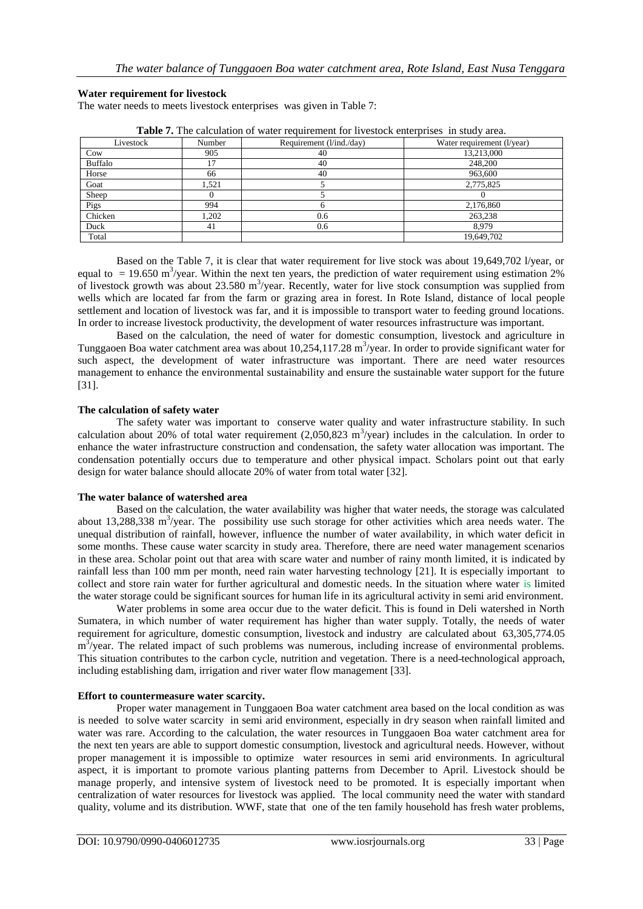## **Water requirement for livestock**

The water needs to meets livestock enterprises was given in Table 7:

| <b>Table 7.</b> The calculation of water requirement for fivestock enterprises in study area. |        |                          |                            |  |  |
|-----------------------------------------------------------------------------------------------|--------|--------------------------|----------------------------|--|--|
| Livestock                                                                                     | Number | Requirement (1/ind./day) | Water requirement (1/year) |  |  |
| Cow                                                                                           | 905    | 40                       | 13,213,000                 |  |  |
| Buffalo                                                                                       | 17     | 40                       | 248,200                    |  |  |
| Horse                                                                                         | 66     | 40                       | 963,600                    |  |  |
| Goat                                                                                          | .521   |                          | 2,775,825                  |  |  |
| Sheep                                                                                         |        |                          |                            |  |  |
| Pigs                                                                                          | 994    |                          | 2,176,860                  |  |  |
| Chicken                                                                                       | .202   | 0.6                      | 263,238                    |  |  |
| Duck                                                                                          | 41     | 0.6                      | 8.979                      |  |  |
| Total                                                                                         |        |                          | 19,649,702                 |  |  |

**Table 7.** The calculation of water requirement for livestock enterprises in study area.

Based on the Table 7, it is clear that water requirement for live stock was about 19,649,702 l/year, or equal to  $= 19.650 \text{ m}^3/\text{year}$ . Within the next ten years, the prediction of water requirement using estimation 2% of livestock growth was about  $23.580 \text{ m}^3/\text{year}$ . Recently, water for live stock consumption was supplied from wells which are located far from the farm or grazing area in forest. In Rote Island, distance of local people settlement and location of livestock was far, and it is impossible to transport water to feeding ground locations. In order to increase livestock productivity, the development of water resources infrastructure was important.

Based on the calculation, the need of water for domestic consumption, livestock and agriculture in Tunggaoen Boa water catchment area was about 10,254,117.28 m<sup>3</sup>/year. In order to provide significant water for such aspect, the development of water infrastructure was important. There are need water resources management to enhance the environmental sustainability and ensure the sustainable water support for the future [31].

## **The calculation of safety water**

The safety water was important to conserve water quality and water infrastructure stability. In such calculation about 20% of total water requirement  $(2,050,823 \text{ m}^3/\text{year})$  includes in the calculation. In order to enhance the water infrastructure construction and condensation, the safety water allocation was important. The condensation potentially occurs due to temperature and other physical impact. Scholars point out that early design for water balance should allocate 20% of water from total water [32].

## **The water balance of watershed area**

Based on the calculation, the water availability was higher that water needs, the storage was calculated about 13,288,338 m<sup>3</sup>/year. The possibility use such storage for other activities which area needs water. The unequal distribution of rainfall, however, influence the number of water availability, in which water deficit in some months. These cause water scarcity in study area. Therefore, there are need water management scenarios in these area. Scholar point out that area with scare water and number of rainy month limited, it is indicated by rainfall less than 100 mm per month, need rain water harvesting technology [21]. It is especially important to collect and store rain water for further agricultural and domestic needs. In the situation where water is limited the water storage could be significant sources for human life in its agricultural activity in semi arid environment.

Water problems in some area occur due to the water deficit. This is found in Deli watershed in North Sumatera, in which number of water requirement has higher than water supply. Totally, the needs of water requirement for agriculture, domestic consumption, livestock and industry are calculated about 63,305,774.05  $m<sup>3</sup>/year$ . The related impact of such problems was numerous, including increase of environmental problems. This situation contributes to the carbon cycle, nutrition and vegetation. There is a need technological approach, including establishing dam, irrigation and river water flow management [33].

#### **Effort to countermeasure water scarcity.**

Proper water management in Tunggaoen Boa water catchment area based on the local condition as was is needed to solve water scarcity in semi arid environment, especially in dry season when rainfall limited and water was rare. According to the calculation, the water resources in Tunggaoen Boa water catchment area for the next ten years are able to support domestic consumption, livestock and agricultural needs. However, without proper management it is impossible to optimize water resources in semi arid environments. In agricultural aspect, it is important to promote various planting patterns from December to April. Livestock should be manage properly, and intensive system of livestock need to be promoted. It is especially important when centralization of water resources for livestock was applied. The local community need the water with standard quality, volume and its distribution. WWF, state that one of the ten family household has fresh water problems,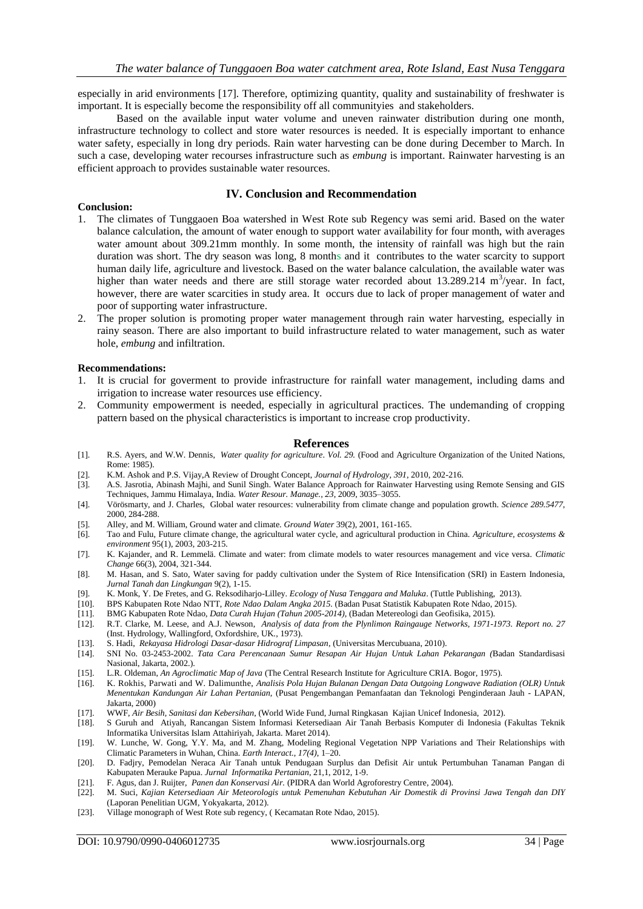especially in arid environments [17]. Therefore, optimizing quantity, quality and sustainability of freshwater is important. It is especially become the responsibility off all communityies and stakeholders.

Based on the available input water volume and uneven rainwater distribution during one month, infrastructure technology to collect and store water resources is needed. It is especially important to enhance water safety, especially in long dry periods. Rain water harvesting can be done during December to March. In such a case, developing water recourses infrastructure such as *embung* is important. Rainwater harvesting is an efficient approach to provides sustainable water resources.

#### **IV. Conclusion and Recommendation**

#### **Conclusion:**

- 1. The climates of Tunggaoen Boa watershed in West Rote sub Regency was semi arid. Based on the water balance calculation, the amount of water enough to support water availability for four month, with averages water amount about 309.21mm monthly. In some month, the intensity of rainfall was high but the rain duration was short. The dry season was long, 8 months and it contributes to the water scarcity to support human daily life, agriculture and livestock. Based on the water balance calculation, the available water was higher than water needs and there are still storage water recorded about  $13.289.214 \text{ m}^3/\text{year}$ . In fact, however, there are water scarcities in study area. It occurs due to lack of proper management of water and poor of supporting water infrastructure.
- 2. The proper solution is promoting proper water management through rain water harvesting, especially in rainy season. There are also important to build infrastructure related to water management, such as water hole, *embung* and infiltration.

#### **Recommendations:**

- 1. It is crucial for goverment to provide infrastructure for rainfall water management, including dams and irrigation to increase water resources use efficiency.
- 2. Community empowerment is needed, especially in agricultural practices. The undemanding of cropping pattern based on the physical characteristics is important to increase crop productivity.

#### **References**

- [1]. R.S. Ayers, and W.W. Dennis, *Water quality for agriculture*. *Vol. 29.* (Food and Agriculture Organization of the United Nations, Rome: 1985).
- [2]. K.M. Ashok and P.S. Vijay,A Review of Drought Concept, *Journal of Hydrology, 391*, 2010, 202-216.
- [3]. A.S. Jasrotia, Abinash Majhi, and Sunil Singh. Water Balance Approach for Rainwater Harvesting using Remote Sensing and GIS Techniques, Jammu Himalaya, India. *Water Resour. Manage., 23*, 2009, 3035–3055.
- [4]. Vörösmarty, and J. Charles, Global water resources: vulnerability from climate change and population growth. *Science 289.5477*, 2000, 284-288.
- [5]. Alley, and M. William, Ground water and climate. *Ground Water* 39(2), 2001, 161-165.
- [6]. Tao and Fulu, Future climate change, the agricultural water cycle, and agricultural production in China. *Agriculture, ecosystems & environment* 95(1), 2003, 203-215.
- [7]. K. Kajander, and R. Lemmelä. Climate and water: from climate models to water resources management and vice versa. *Climatic Change* 66(3), 2004, 321-344.
- [8]. M. Hasan, and S. Sato, Water saving for paddy cultivation under the System of Rice Intensification (SRI) in Eastern Indonesia, *Jurnal Tanah dan Lingkungan* 9(2), 1-15.
- [9]. K. Monk, Y. De Fretes, and G. Reksodiharjo-Lilley. *Ecology of Nusa Tenggara and Maluka*. (Tuttle Publishing, 2013).
- [10]. BPS Kabupaten Rote Ndao NTT, *Rote Ndao Dalam Angka 2015.* (Badan Pusat Statistik Kabupaten Rote Ndao, 2015).
- [11]. BMG Kabupaten Rote Ndao, *Data Curah Hujan (Tahun 2005-2014),* (Badan Metereologi dan Geofisika, 2015).
- [12]. R.T. Clarke, M. Leese, and A.J. Newson, *Analysis of data from the Plynlimon Raingauge Networks, 1971-1973. Report no. 27* (Inst. Hydrology, Wallingford, Oxfordshire, UK., 1973).
- 
- [13]. S. Hadi, *Rekayasa Hidrologi Dasar-dasar Hidrograf Limpasan*, (Universitas Mercubuana, 2010). [14]. SNI No. 03-2453-2002. *Tata Cara Perencanaan Sumur Resapan Air Hujan Untuk Lahan Pekarangan (*Badan Standardisasi Nasional, Jakarta, 2002.).
- [15]. L.R. Oldeman, *An Agroclimatic Map of Java* (The Central Research Institute for Agriculture CRIA. Bogor, 1975).
- [16]. K. Rokhis, Parwati and W. Dalimunthe, *Analisis Pola Hujan Bulanan Dengan Data Outgoing Longwave Radiation (OLR) Untuk Menentukan Kandungan Air Lahan Pertanian,* (Pusat Pengembangan Pemanfaatan dan Teknologi Penginderaan Jauh - LAPAN, Jakarta, 2000)
- [17]. WWF, *Air Besih, Sanitasi dan Kebersihan*, (World Wide Fund, Jurnal Ringkasan Kajian Unicef Indonesia, 2012).
- [18]. S Guruh and Atiyah, Rancangan Sistem Informasi Ketersediaan Air Tanah Berbasis Komputer di Indonesia (Fakultas Teknik Informatika Universitas Islam Attahiriyah, Jakarta. Maret 2014).
- [19]. W. Lunche, W. Gong, Y.Y. Ma, and M. Zhang, Modeling Regional Vegetation NPP Variations and Their Relationships with Climatic Parameters in Wuhan, China. *Earth Interact.*, *17(4)*, 1–20.
- [20]. D. Fadjry, Pemodelan Neraca Air Tanah untuk Pendugaan Surplus dan Defisit Air untuk Pertumbuhan Tanaman Pangan di Kabupaten Merauke Papua. *Jurnal Informatika Pertanian*, 21,1, 2012, 1-9.
- [21]. F. Agus, dan J. Ruijter, *Panen dan Konservasi Air.* (PIDRA dan World Agroforestry Centre, 2004).
- [22]. M. Suci, *Kajian Ketersediaan Air Meteorologis untuk Pemenuhan Kebutuhan Air Domestik di Provinsi Jawa Tengah dan DIY* (Laporan Penelitian UGM, Yokyakarta, 2012).
- [23]. Village monograph of West Rote sub regency, (Kecamatan Rote Ndao, 2015).